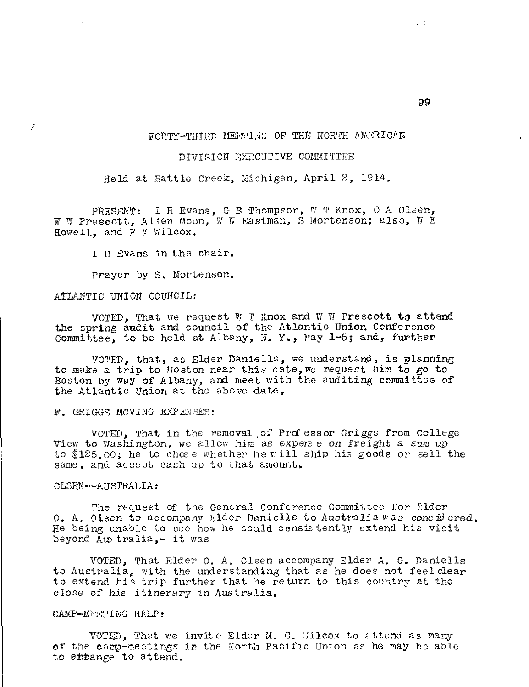## FORTY-THIRD MEETING OF THE NORTH AMERICAN

# DIVISION EXECUTIVE COMMITTEE

Held at Battle Creek, Michigan, April 2, 1914.

PRESENT: I H Evans, G B Thompson, W T Knox, 0 A Olsen, W W Prescott, Allen Moon, W W Eastman, S Mortenson; also, W E Howell, and F M Wilcox.

I H Evans in the chair.

Prayer by S. Mortenson.

ATLANTIC UNION COUNCIL:

F

VOTED, That we request  $W T$  Knox and  $W W$  Prescott to attend the spring audit and council of the Atlantic Union Conference Committee, to be held at Albany, N. Y., May  $1-5$ ; and, further

VOTED, that, as Elder Daniells, we understand, is planning to make a trip to Boston near this date, we request him to go to Boston by way of Albany, and meet with the auditing committee of the Atlantic Union at the above date.

F. GRIGGS MOVING EXPENSES:

VOTED, That in the removal,of Professor Griggs from College View to Washington, we allow him as experse on freight a sum up to  $$125,00$ ; he to chose whether he will ship his goods or sell the same, and accept cash up to that amount.

### OLSEN - -AUSTRALIA:

The request of the General Conference Committee for Elder O. A. Olsen to accompany Elder Daniells to Australia was considered. He being unable to see how he could consistently extend his visit beyond Australia, - it was

VOTED, That Elder 0. A. Olsen accompany Elder A. G. Daniells to Australia, with the understanding that as he does not feel clear to extend his trip further that he return to this country at the close of his itinerary in Australia.

## CAMP-MEETING HELP:

VOTED, That we invite Elder M. C. Wilcox to attend as many of the camp-meetings in the North Pacific Union as he may be able to arrange to attend.